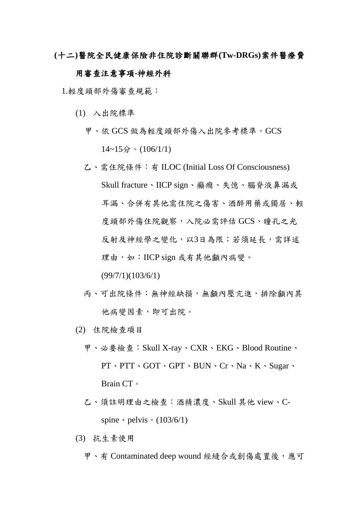**(**十二**)**醫院全民健康保險非住院診斷關聯群**(Tw-DRGs)**案件醫療費

## 用審查注意事項**-**神經外科

1.輕度頭部外傷審查規範:

- (1) 入出院標準
	- 甲、依 GCS 做為輕度頭部外傷入出院參考標準。GCS  $14~15$   $\hat{ }$   $\cdot$   $(106/1/1)$
	- 乙、需住院條件:有 ILOC (Initial Loss Of Consciousness) Skull fracture、IICP sign、癲癇、失憶、腦脊液鼻漏或 耳漏、合併有其他需住院之傷害、酒醉用藥或獨居、輕 度頭部外傷住院觀察,入院必需評估 GCS、瞳孔之光 反射及神經學之變化,以3日為限;若須延長,需詳述 理由,如: IICP sign 或有其他顱內病變。

(99/7/1)(103/6/1)

- 丙、可出院條件:無神經缺損,無顱內壓亢進,排除顱內其 他病變因素,即可出院。
- (2) 住院檢查項目
	- 甲、必要檢查:Skull X-ray、CXR、EKG、Blood Routine、 PT、PTT、GOT、GPT、BUN、Cr、Na、K、Sugar、 Brain CT。
	- 乙、須註明理由之檢查:酒精濃度、Skull 其他 view、Cspine  $\cdot$  pelvis  $\cdot$  (103/6/1)
- (3) 抗生素使用
	- 甲、有 Contaminated deep wound 經縫合或創傷處置後,應可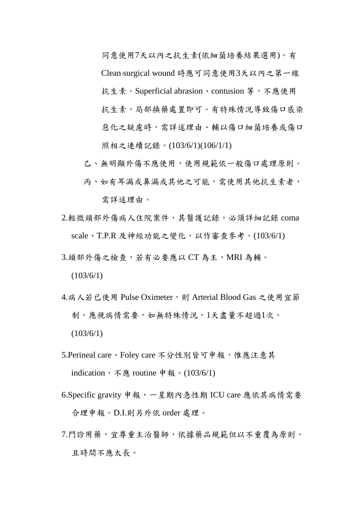同意使用7天以內之抗生素(依細菌培養結果選用)。有 Clean surgical wound 時應可同意使用3天以內之第一線 抗生素。Superficial abrasion、contusion 等,不應使用 抗生素,局部換藥處置即可。有特殊情況導致傷口感染 惡化之疑慮時,需詳述理由、輔以傷口細菌培養或傷口 照相之連續記錄。(103/6/1)(106/1/1)

- 乙、無明顯外傷不應使用,使用規範依一般傷口處理原則。
- 丙、如有耳漏或鼻漏或其他之可能,需使用其他抗生素者, 需詳述理由。
- 2.輕微頭部外傷病人住院案件,其醫護記錄,必須詳細記錄 coma scale、T.P.R 及神經功能之變化,以作審查參考。(103/6/1)
- 3.頭部外傷之檢查,若有必要應以 CT為主, MRI 為輔。

 $(103/6/1)$ 

- 4.病人若已使用 Pulse Oximeter,則 Arterial Blood Gas 之使用宜節 制,應視病情需要,如無特殊情況,1天盡量不超過1次。  $(103/6/1)$
- 5.Perineal care、Foley care 不分性別皆可申報,惟應注意其 indication, 不應 routine 申報。(103/6/1)
- 6.Specific gravity 申報,一星期內急性期 ICU care 應依其病情需要 合理申報。D.I.則另外依 order 處理。
- 7.門診用藥,宜尊重主治醫師,依據藥品規範但以不重覆為原則, 且時間不應太長。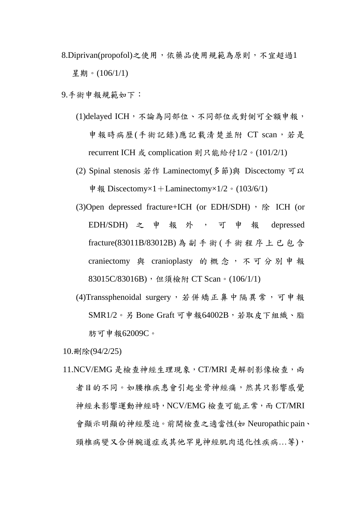- 8.Diprivan(propofol)之使用,依藥品使用規範為原則,不宜超過1 星期。(106/1/1)
- 9.手術申報規範如下:
	- (1)delayed ICH,不論為同部位、不同部位或對側可全額申報, 申報時病歷(手術記錄)應記載清楚並附 CT scan,若是 recurrent ICH 或 complication 則只能給付1/2。(101/2/1)
	- (2) Spinal stenosis 若作 Laminectomy(多節)與 Discectomy 可以 申報 Discectomy $\times$ 1+Laminectomy $\times$ 1/2。(103/6/1)
	- (3) Open depressed fracture + ICH (or EDH/SDH)  $\cdot$   $\circ$  ECH (or EDH/SDH) 之 申 報 外 , 可 申 報 depressed fracture(83011B/83012B) 為副手術 ( 手 術 程 序 上 已 包 含 craniectomy 與 cranioplasty 的 概 念 , 不 可 分 別 申 報 83015C/83016B),但須檢附 CT Scan。(106/1/1)
	- (4)Transsphenoidal surgery,若併矯正鼻中隔異常,可申報  $SMR1/2$ 。另 Bone Graft 可申報64002B,差取皮下組織、脂 肪可申報62009C。

10.刪除(94/2/25)

11.NCV/EMG 是檢查神經生理現象, CT/MRI 是解剖影像檢查, 兩 者目的不同。如腰椎疾患會引起坐骨神經痛,然其只影響感覺 神經未影響運動神經時,NCV/EMG 檢查可能正常,而 CT/MRI 會顯示明顯的神經壓迫。前開檢查之適當性(如 Neuropathic pain、 頸椎病變又合併腕道症或其他罕見神經肌肉退化性疾病...等),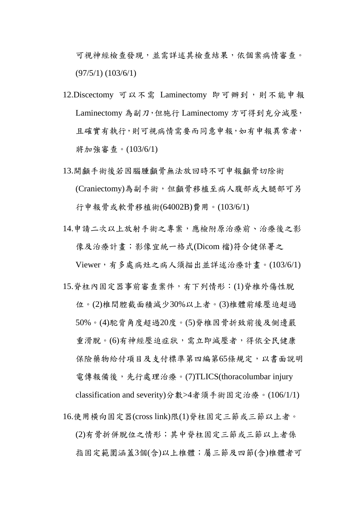可視神經檢查發現,並需詳述其檢查結果,依個案病情審查。 (97/5/1) (103/6/1)

- 12.Discectomy 可以不需 Laminectomy 即可辦到,則不能申報 Laminectomy 為副刀,但施行 Laminectomy 方可得到充分減壓, 且確實有執行,則可視病情需要而同意申報,如有申報異常者, 將加強審查。(103/6/1)
- 13.開顱手術後若因腦腫顱骨無法放回時不可申報顱骨切除術 (Craniectomy)為副手術,但顱骨移植至病人腹部或大腿部可另 行申報骨或軟骨移植術(64002B)費用。(103/6/1)
- 14.申請二次以上放射手術之專案,應檢附原治療前、治療後之影 像及治療計畫;影像宜統一格式(Dicom 檔)符合健保署之 Viewer,有多處病灶之病人須描出並詳述治療計畫。(103/6/1)
- 15.脊柱內固定器事前審查案件,有下列情形:(1)脊椎外傷性脫 位。(2)椎間腔截面積減少30%以上者。(3)椎體前緣壓迫超過 50%。(4)駝背角度超過20度。(5)脊椎因骨折致前後及側邊嚴 重滑脫。(6)有神經壓迫症狀,需立即減壓者,得依全民健康 保險藥物給付項目及支付標準第四編第65條規定,以書面說明 電傳報備後,先行處理治療。(7)TLICS(thoracolumbar injury classification and severity)分數>4者須手術固定治療。(106/1/1)
- 16.使用橫向固定器(cross link)限(1)脊柱固定三節或三節以上者。 (2)有骨折併脫位之情形;其中脊柱固定三節或三節以上者係 指固定範圍涵蓋3個(含)以上椎體;屬三節及四節(含)椎體者可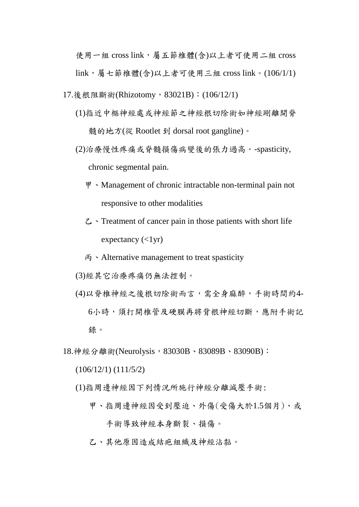使用一組 cross link,屬五節椎體(含)以上者可使用二組 cross link,屬七節椎體(含)以上者可使用三組 cross link。(106/1/1) 17.後根阻斷術(Rhizotomy, 83021B): (106/12/1)

- (1)指近中樞神經處或神經節之神經根切除術如神經剛離開脊 髓的地方(從 Rootlet 到 dorsal root gangline)。
- (2)治療慢性疼痛或脊髓損傷病變後的張力過高。-spasticity, chronic segmental pain.
	- 甲、Management of chronic intractable non-terminal pain not responsive to other modalities
	- 乙、Treatment of cancer pain in those patients with short life expectancy  $(<1$ yr)
	- 丙、Alternative management to treat spasticity
- (3)經其它治療疼痛仍無法控制。
- (4)以脊椎神經之後根切除術而言,需全身麻醉,手術時間約4- 6小時,須打開椎管及硬膜再將背根神經切斷,應附手術記 錄。
- 18. 神經分離術(Neurolysis, 83030B、83089B、83090B):
	- (106/12/1) (111/5/2)
	- (1)指周邊神經因下列情況所施行神經分離減壓手術:
		- 甲、指周邊神經因受到壓迫、外傷(受傷大於1.5個月)、或

手術導致神經本身斷裂、損傷。

乙、其他原因造成結疤組織及神經沾黏。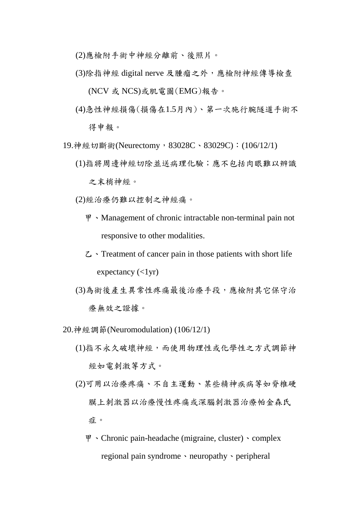(2)應檢附手術中神經分離前、後照片。

(3)除指神經 digital nerve 及腫瘤之外,應檢附神經傳導檢查

(NCV 或 NCS)或肌電圖(EMG)報告。

- (4)急性神經損傷(損傷在1.5月內)、第一次施行腕隧道手術不 得申報。
- 19. 神經切斷術(Neurectomy, 83028C、83029C): (106/12/1)
	- (1)指將周邊神經切除並送病理化驗;應不包括肉眼難以辨識 之末梢神經。
	- (2)經治療仍難以控制之神經痛。
		- 甲、Management of chronic intractable non-terminal pain not responsive to other modalities.
		- $\mathcal{L}$   $\cdot$  Treatment of cancer pain in those patients with short life expectancy  $(<1$ yr)
	- (3)為術後產生異常性疼痛最後治療手段,應檢附其它保守治 療無效之證據。
- 20.神經調節(Neuromodulation) (106/12/1)
	- (1)指不永久破壞神經,而使用物理性或化學性之方式調節神 經如電刺激等方式。
	- (2)可用以治療疼痛、不自主運動、某些精神疾病等如脊椎硬 膜上刺激器以治療慢性疼痛或深腦刺激器治療帕金森氏 症。
		- 甲、Chronic pain-headache (migraine, cluster)、complex regional pain syndrome 、neuropathy、peripheral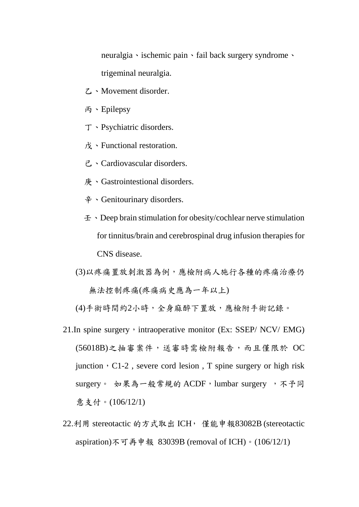neuralgia、ischemic pain、fail back surgery syndrome、 trigeminal neuralgia.

- 乙、Movement disorder.
- 丙、Epilepsy
- 丁、Psychiatric disorders.
- 戊、Functional restoration.
- 己、Cardiovascular disorders.
- 庚、Gastrointestional disorders.
- 辛、Genitourinary disorders.
- 壬、Deep brain stimulation for obesity/cochlear nerve stimulation for tinnitus/brain and cerebrospinal drug infusion therapies for CNS disease.
- (3)以疼痛置放刺激器為例,應檢附病人施行各種的疼痛治療仍 無法控制疼痛(疼痛病史應為一年以上)

(4)手術時間約2小時,全身麻醉下置放,應檢附手術記錄。

- 21. In spine surgery, intraoperative monitor (Ex: SSEP/ NCV/ EMG) (56018B)之抽審案件,送審時需檢附報告,而且僅限於 OC junction, C1-2, severe cord lesion, T spine surgery or high risk surgery。 如果為一般常規的 ACDF, lumbar surgery ,不予同 意支付。(106/12/1)
- 22.利用 stereotactic 的方式取出 ICH, 僅能申報83082B (stereotactic aspiration)不可再申報 83039B (removal of ICH)。(106/12/1)